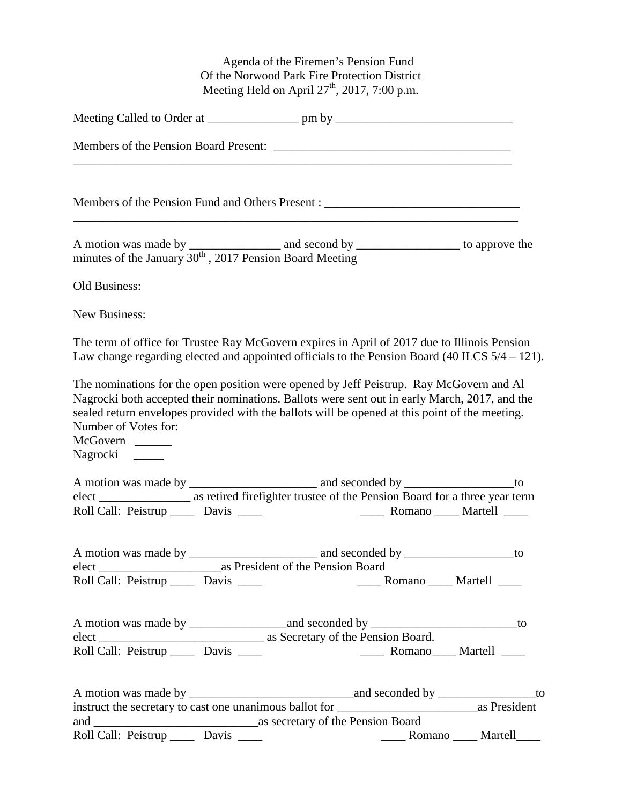Agenda of the Firemen's Pension Fund Of the Norwood Park Fire Protection District Meeting Held on April  $27<sup>th</sup>$ ,  $2017$ ,  $7:00$  p.m.

| <u> 1980 - Jan Samuel Barbara, martin da basar da basar da basar da basar da basar da basar da basar da basar da</u>                                                                                                                                                                                                                             |                                     |  |  |
|--------------------------------------------------------------------------------------------------------------------------------------------------------------------------------------------------------------------------------------------------------------------------------------------------------------------------------------------------|-------------------------------------|--|--|
| Members of the Pension Fund and Others Present : ________________________________                                                                                                                                                                                                                                                                |                                     |  |  |
| A motion was made by $\frac{1}{2017 \text{ Pension}}$ and second by $\frac{1}{2017 \text{ Pension}}$ to approve the                                                                                                                                                                                                                              |                                     |  |  |
| Old Business:                                                                                                                                                                                                                                                                                                                                    |                                     |  |  |
| New Business:                                                                                                                                                                                                                                                                                                                                    |                                     |  |  |
| The term of office for Trustee Ray McGovern expires in April of 2017 due to Illinois Pension<br>Law change regarding elected and appointed officials to the Pension Board (40 ILCS 5/4 – 121).                                                                                                                                                   |                                     |  |  |
| The nominations for the open position were opened by Jeff Peistrup. Ray McGovern and Al<br>Nagrocki both accepted their nominations. Ballots were sent out in early March, 2017, and the<br>sealed return envelopes provided with the ballots will be opened at this point of the meeting.<br>Number of Votes for:<br>McGovern<br>Nagrocki _____ |                                     |  |  |
|                                                                                                                                                                                                                                                                                                                                                  |                                     |  |  |
| elect ________________________ as retired firefighter trustee of the Pension Board for a three year term                                                                                                                                                                                                                                         |                                     |  |  |
|                                                                                                                                                                                                                                                                                                                                                  |                                     |  |  |
| Roll Call: Peistrup ______ Davis _____                                                                                                                                                                                                                                                                                                           | _______ Romano ______ Martell _____ |  |  |
|                                                                                                                                                                                                                                                                                                                                                  |                                     |  |  |
|                                                                                                                                                                                                                                                                                                                                                  |                                     |  |  |
|                                                                                                                                                                                                                                                                                                                                                  |                                     |  |  |
|                                                                                                                                                                                                                                                                                                                                                  |                                     |  |  |